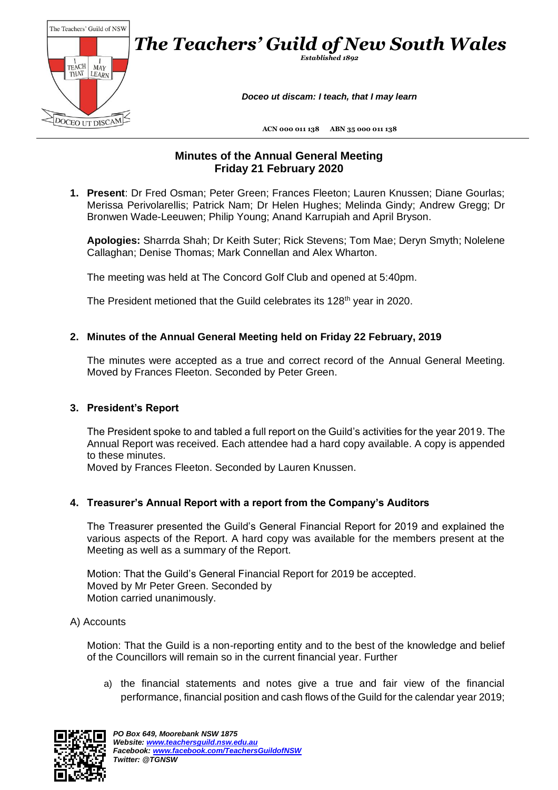

## **Minutes of the Annual General Meeting Friday 21 February 2020**

**1. Present**: Dr Fred Osman; Peter Green; Frances Fleeton; Lauren Knussen; Diane Gourlas; Merissa Perivolarellis; Patrick Nam; Dr Helen Hughes; Melinda Gindy; Andrew Gregg; Dr Bronwen Wade-Leeuwen; Philip Young; Anand Karrupiah and April Bryson.

**Apologies:** Sharrda Shah; Dr Keith Suter; Rick Stevens; Tom Mae; Deryn Smyth; Nolelene Callaghan; Denise Thomas; Mark Connellan and Alex Wharton.

The meeting was held at The Concord Golf Club and opened at 5:40pm.

The President metioned that the Guild celebrates its 128<sup>th</sup> year in 2020.

#### **2. Minutes of the Annual General Meeting held on Friday 22 February, 2019**

The minutes were accepted as a true and correct record of the Annual General Meeting. Moved by Frances Fleeton. Seconded by Peter Green.

#### **3. President's Report**

The President spoke to and tabled a full report on the Guild's activities for the year 2019. The Annual Report was received. Each attendee had a hard copy available. A copy is appended to these minutes.

Moved by Frances Fleeton. Seconded by Lauren Knussen.

### **4. Treasurer's Annual Report with a report from the Company's Auditors**

The Treasurer presented the Guild's General Financial Report for 2019 and explained the various aspects of the Report. A hard copy was available for the members present at the Meeting as well as a summary of the Report.

Motion: That the Guild's General Financial Report for 2019 be accepted. Moved by Mr Peter Green. Seconded by Motion carried unanimously.

#### A) Accounts

Motion: That the Guild is a non-reporting entity and to the best of the knowledge and belief of the Councillors will remain so in the current financial year. Further

a) the financial statements and notes give a true and fair view of the financial performance, financial position and cash flows of the Guild for the calendar year 2019;

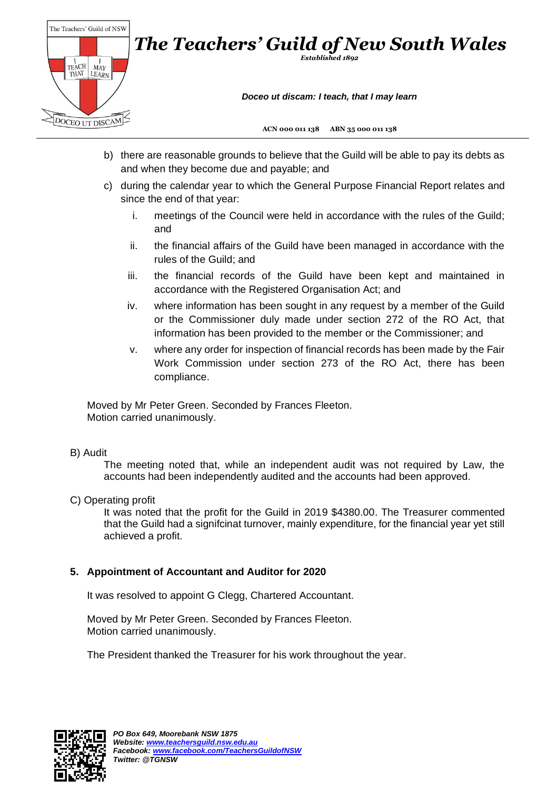

- b) there are reasonable grounds to believe that the Guild will be able to pay its debts as and when they become due and payable; and
- c) during the calendar year to which the General Purpose Financial Report relates and since the end of that year:
	- i. meetings of the Council were held in accordance with the rules of the Guild; and
	- ii. the financial affairs of the Guild have been managed in accordance with the rules of the Guild; and
	- iii. the financial records of the Guild have been kept and maintained in accordance with the Registered Organisation Act; and
	- iv. where information has been sought in any request by a member of the Guild or the Commissioner duly made under section 272 of the RO Act, that information has been provided to the member or the Commissioner; and
	- v. where any order for inspection of financial records has been made by the Fair Work Commission under section 273 of the RO Act, there has been compliance.

Moved by Mr Peter Green. Seconded by Frances Fleeton. Motion carried unanimously.

### B) Audit

The meeting noted that, while an independent audit was not required by Law, the accounts had been independently audited and the accounts had been approved.

C) Operating profit

It was noted that the profit for the Guild in 2019 \$4380.00. The Treasurer commented that the Guild had a signifcinat turnover, mainly expenditure, for the financial year yet still achieved a profit.

### **5. Appointment of Accountant and Auditor for 2020**

It was resolved to appoint G Clegg, Chartered Accountant.

Moved by Mr Peter Green. Seconded by Frances Fleeton. Motion carried unanimously.

The President thanked the Treasurer for his work throughout the year.

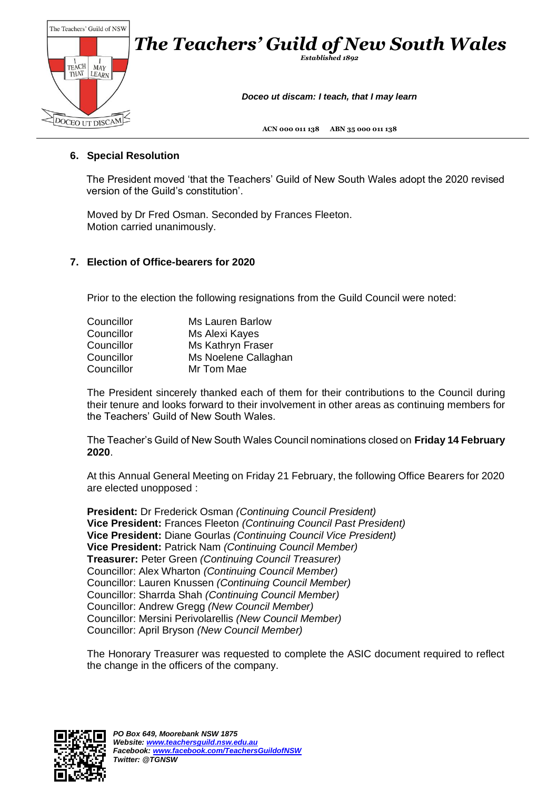

## **6. Special Resolution**

The President moved 'that the Teachers' Guild of New South Wales adopt the 2020 revised version of the Guild's constitution'.

Moved by Dr Fred Osman. Seconded by Frances Fleeton. Motion carried unanimously.

### **7. Election of Office-bearers for 2020**

Prior to the election the following resignations from the Guild Council were noted:

| Councillor | <b>Ms Lauren Barlow</b> |
|------------|-------------------------|
| Councillor | Ms Alexi Kayes          |
| Councillor | Ms Kathryn Fraser       |
| Councillor | Ms Noelene Callaghan    |
| Councillor | Mr Tom Mae              |

The President sincerely thanked each of them for their contributions to the Council during their tenure and looks forward to their involvement in other areas as continuing members for the Teachers' Guild of New South Wales.

The Teacher's Guild of New South Wales Council nominations closed on **Friday 14 February 2020**.

At this Annual General Meeting on Friday 21 February, the following Office Bearers for 2020 are elected unopposed :

**President:** Dr Frederick Osman *(Continuing Council President)*  **Vice President:** Frances Fleeton *(Continuing Council Past President)*  **Vice President:** Diane Gourlas *(Continuing Council Vice President)*  **Vice President:** Patrick Nam *(Continuing Council Member)*  **Treasurer:** Peter Green *(Continuing Council Treasurer)*  Councillor: Alex Wharton *(Continuing Council Member)*  Councillor: Lauren Knussen *(Continuing Council Member)*  Councillor: Sharrda Shah *(Continuing Council Member)*  Councillor: Andrew Gregg *(New Council Member)*  Councillor: Mersini Perivolarellis *(New Council Member)*  Councillor: April Bryson *(New Council Member)* 

The Honorary Treasurer was requested to complete the ASIC document required to reflect the change in the officers of the company.